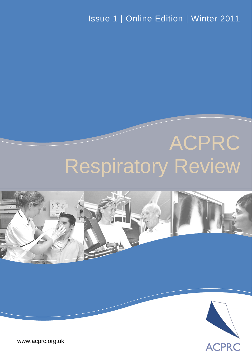Issue 1 | Online Edition | Winter 2011

# ACPRC Respiratory Review



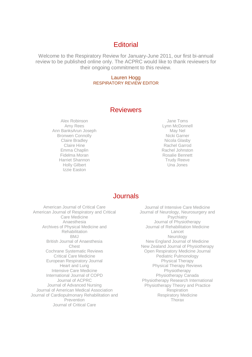# **Editorial**

Welcome to the Respiratory Review for January-June 2011, our first bi-annual review to be published online only. The ACPRC would like to thank reviewers for their ongoing commitment to this review.

#### Lauren Hogg RESPIRATORY REVIEW EDITOR

# **Reviewers**

Alex Robinson Amy Rees Ann BanksArun Joseph Bronwen Connolly Claire Bradley Claire Hine Emma Chaplin Fidelma Moran Harriet Shannon Holly Gilbert Izzie Easton

Jane Toms Lynn McDonnell May Nel Nicki Garner Nicola Glasby Rachel Garrod Rachel Johnston Rosalie Bennett Trudy Reeve Una Jones

# Journals

American Journal of Critical Care American Journal of Respiratory and Critical Care Medicine Anaesthesia Archives of Physical Medicine and Rehabilitation **BMJ** British Journal of Anaesthesia Chest Cochrane Systematic Reviews Critical Care Medicine European Respiratory Journal Heart and Lung Intensive Care Medicine International Journal of COPD Journal of ACPRC Journal of Advanced Nursing Journal of American Medical Association Journal of Cardiopulmonary Rehabilitation and **Prevention** Journal of Critical Care

Journal of Intensive Care Medicine Journal of Neurology, Neurosurgery and **Psychiatry** Journal of Physiotherapy Journal of Rehabilitation Medicine Lancet Neurology New England Journal of Medicine New Zealand Journal of Physiotherapy Open Respiratory Medicine Journal Pediatric Pulmonology Physical Therapy Physical Therapy Reviews Physiotherapy Physiotherapy Canada Physiotherapy Research International Physiotherapy Theory and Practice Respiration Respiratory Medicine Thorax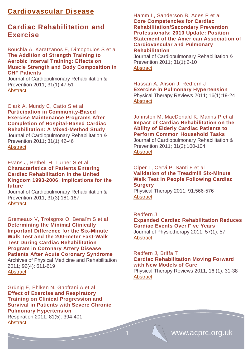# **Cardiovascular Disease**

# **Cardiac Rehabilitation and Exercise**

Bouchla A, Karatzanos E, Dimopoulos S et al **The Addition of Strength Training to Aerobic Interval Training: Effects on Muscle Strength and Body Composition in CHF Patients** 

Journal of Cardiopulmonary Rehabilitation & Prevention 2011; 31(1):47-51 **[Abstract](http://journals.lww.com/jcrjournal/Abstract/2011/01000/The_Addition_of_Strength_Training_to_Aerobic.7.aspx)** 

Clark A, Mundy C, Catto S et al **Participation in Community-Based Exercise Maintenance Programs After Completion of Hospital-Based Cardiac Rehabilitation: A Mixed-Method Study** Journal of Cardiopulmonary Rehabilitation & Prevention 2011; 31(1):42-46 **[Abstract](http://journals.lww.com/jcrjournal/Abstract/2011/01000/Participation_in_Community_Based_Exercise.6.aspx)** 

Evans J, Bethell H, Turner S et al **[Characteristics of Patients Entering](http://journals.lww.com/jcrjournal/Abstract/2011/05000/Characteristics_of_Patients_Entering_Cardiac.6.aspx)  [Cardiac Rehabilitation in the United](http://journals.lww.com/jcrjournal/Abstract/2011/05000/Characteristics_of_Patients_Entering_Cardiac.6.aspx)  [Kingdom 1993-2006: Implications for the](http://journals.lww.com/jcrjournal/Abstract/2011/05000/Characteristics_of_Patients_Entering_Cardiac.6.aspx)  [future](http://journals.lww.com/jcrjournal/Abstract/2011/05000/Characteristics_of_Patients_Entering_Cardiac.6.aspx)**

Journal of Cardiopulmonary Rehabilitation & Prevention 2011; 31(3):181-187 **[Abstract](http://journals.lww.com/jcrjournal/Abstract/2011/05000/Characteristics_of_Patients_Entering_Cardiac.6.aspx)** 

[Gremeaux](http://www.archives-pmr.org/article/S0003-9993(10)00963-9/abstract##) V, [Troisgros](http://www.archives-pmr.org/article/S0003-9993(10)00963-9/abstract##) O, [Benaïm](http://www.archives-pmr.org/article/S0003-9993(10)00963-9/abstract##) S et al **Determining the Minimal Clinically Important Difference for the Six-Minute Walk Test and the 200-meter Fast-Walk Test During Cardiac Rehabilitation Program in Coronary Artery Disease Patients After Acute Coronary Syndrome** Archives of Physical Medicine and Rehabilitation

2011; 92(4): 611-619 **[Abstract](http://www.archives-pmr.org/article/S0003-9993(10)00963-9/abstract)** 

Grünig E, Ehlken N, Ghofrani A et al **Effect of Exercise and Respiratory Training on Clinical Progression and Survival in Patients with Severe Chronic Pulmonary Hypertension** Respiration 2011; 81(5): 394-401 **[Abstract](http://content.karger.com/ProdukteDB/produkte.asp?Aktion=ShowAbstract&ArtikelNr=322475&Ausgabe=255040&ProduktNr=224278)** 

Hamm L, Sanderson B, Ades P et al **Core Competencies for Cardiac Rehabilitation/Secondary Prevention Professionals: 2010 Update: Position Statement of the American Association of Cardiovascular and Pulmonary Rehabilitation** 

Journal of Cardiopulmonary Rehabilitation & Prevention 2011; 31(1):2-10 **[Abstract](http://journals.lww.com/jcrjournal/Fulltext/2011/01000/Core_Competencies_for_Cardiac.2.aspx)** 

Hassan A, Alison J, Redfern J **Exercise in Pulmonary Hypertension**  [Physical Therapy Reviews](http://www.ingentaconnect.com/content/maney/ptr) 2011; 16(1):19-24 **[Abstract](http://www.ingentaconnect.com/content/maney/ptr/2011/00000016/00000001/art00004)** 

Johnston M, MacDonald K, Manns P et al **Impact of Cardiac Rehabilitation on the Ability of Elderly Cardiac Patients to Perform Common Household Tasks** 

Journal of Cardiopulmonary Rehabilitation & Prevention 2011; 31(2):100-104 **[Abstract](http://journals.lww.com/jcrjournal/Citation/2011/03000/Impact_of_Cardiac_Rehabilitation_on_the_Ability_of.5.aspx)** 

#### Olper L, Cervi P, Santi F et al **Validation of the Treadmill Six-Minute Walk Test in People Following Cardiac Surgery**

Physical Therapy 2011; 91:566-576 **[Abstract](http://ptjournal.apta.org/content/91/4/566.abstract)** 

Redfern J

**Expanded Cardiac Rehabilitation Reduces Cardiac Events Over Five Years** Journal of Physiotherapy 2011; 57(1): 57 **[Abstract](http://www.ncbi.nlm.nih.gov/pubmed/21402333)** 

# Redfern J, Briffa T **Cardiac Rehabilitation Moving Forward with New Models of Care**

Physical Therapy Reviews 2011; 16 (1): 31-38 **[Abstract](http://www.ingentaconnect.com/content/maney/ptr/2011/00000016/00000001/art00006)**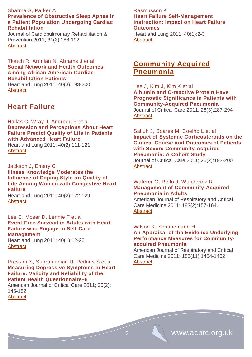## Sharma S, Parker A **Prevalence of Obstructive Sleep Apnea in a Patient Population Undergoing Cardiac Rehabilitation**

Journal of Cardiopulmonary Rehabilitation & Prevention 2011; 31(3):188-192 **[Abstract](http://journals.lww.com/jcrjournal/Fulltext/2011/05000/Prevalence_of_Obstructive_Sleep_Apnea_in_a_Patient.7.aspx)** 

## Tkatch R, Artinian N, Abrams J et al **Social Network and Health Outcomes Among African American Cardiac Rehabilitation Patients**

Heart and Lung 2011; 40(3):193-200 [Abstract](http://www.sciencedirect.com/science/article/pii/S0147956310002049)

# **Heart Failure**

Hallas C, Wray J, Andreou P et al **Depression and Perceptions About Heart Failure Predict Quality of Life in Patients with Advanced Heart Failure**  Heart and Lung 2011; 40(2):111-121 **[Abstract](http://www.sciencedirect.com/science/article/pii/S0147956309003252)** 

Jackson J, Emery C **Illness Knowledge Moderates the Influence of Coping Style on Quality of Life Among Women with Congestive Heart Failure** Heart and Lung 2011; 40(2):122-129 **[Abstract](http://www.sciencedirect.com/science/article/pii/S0147956309003227)** 

Lee C, Moser D, Lennie T et al **Event-Free Survival in Adults with Heart Failure who Engage in Self-Care Management** 

Heart and Lung 2011; 40(1):12-20 **[Abstract](http://www.sciencedirect.com/science/article/pii/S0147956309003203)** 

Pressler S, Subramanian U, Perkins S et al **Measuring Depressive Symptoms in Heart Failure: Validity and Reliability of the Patient Health Questionnaire–8** 

American Journal of Critical Care 2011; 20(2): 146-152 **[Abstract](http://ajcc.aacnjournals.org/content/20/2/146.abstract)** 

# Rasmusson K **Heart Failure Self-Management instruction: Impact on Heart Failure Outcomes**

Heart and Lung 2011; 40(1):2-3 **[Abstract](http://download.journals.elsevierhealth.com/pdfs/journals/0147-9563/PIIS0147956310004450.pdf)** 

# **Community Acquired Pneumonia**

Lee J, Kim J, Kim K et al **Albumin and C-reactive Protein Have Prognostic Significance in Patients with Community-Acquired Pneumonia** Journal of Critical Care 2011; 26(3):287-294 **[Abstract](http://www.sciencedirect.com/science/article/pii/S0883944110002893)** 

Salluh J, Soares M, Coelho L et al **Impact of Systemic Corticosteroids on the Clinical Course and Outcomes of Patients with Severe Community-Acquired Pneumonia: A Cohort Study** Journal of Critical Care 2011; 26(2):193-200 **[Abstract](http://www.sciencedirect.com/science/article/pii/S0883944110001929)** 

# Waterer G, Rello J, Wunderink R **Management of Community-Acquired**

**Pneumonia in Adults** 

American Journal of Respiratory and Critical Care Medicine 2011; 183(2):157-164. [Abstract](http://ajrccm.atsjournals.org/cgi/content/abstract/183/2/157)

#### Wilson K, Schünemann H **An Appraisal of the Evidence Underlying Performance Measures for Communityacquired Pneumonia**

American Journal of Respiratory and Critical Care Medicine 2011; 183(11):1454-1462 **[Abstract](http://ajrccm.atsjournals.org/cgi/content/abstract/183/11/1454)**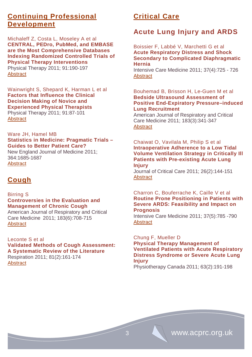# **Continuing Professional Development**

Michaleff Z, Costa L, Moseley A et al **CENTRAL, PEDro, PubMed, and EMBASE are the Most Comprehensive Databases Indexing Randomized Controlled Trials of Physical Therapy Interventions** Physical Therapy 2011; 91:190-197

**[Abstract](http://ptjournal.apta.org/content/91/2/190.abstract)** 

Wainwright S, Shepard K, Harman L et al **Factors that Influence the Clinical Decision Making of Novice and Experienced Physical Therapists** Physical Therapy 2011; 91:87-101

**[Abstract](http://ptjournal.apta.org/content/91/1/87.abstract)** 

Ware JH, Hamel MB **Statistics in Medicine: Pragmatic Trials – Guides to Better Patient Care?** New England Journal of Medicine 2011; 364:1685-1687 **[Abstract](http://www.nejm.org/toc/nejm/364/18/)** 

# **Cough**

# Birring S

# **Controversies in the Evaluation and Management of Chronic Cough**

American Journal of Respiratory and Critical Care Medicine 2011; 183(6):708-715 **[Abstract](http://ajrccm.atsjournals.org/cgi/content/abstract/183/6/708)** 

## Leconte S et al

**Validated Methods of Cough Assessment: A Systematic Review of the Literature** Respiration 2011; 81(2):161-174 **[Abstract](http://content.karger.com/ProdukteDB/produkte.asp?Aktion=ShowAbstract&ArtikelNr=321231&Ausgabe=254869&ProduktNr=224278)** 

# **Critical Care**

# **Acute Lung Injury and ARDS**

Boissier F, Labbé V, Marchetti G et al **Acute Respiratory Distress and Shock Secondary to Complicated Diaphragmatic Hernia**

Intensive Care Medicine 2011; 37(4):725 - 726 **[Abstract](http://icmjournal.esicm.org/journals/abstract.html?v=37&j=134&i=4&a=2142_10.1007_s00134-011-2142-3&doi)** 

Bouhemad B, Brisson H, Le-Guen M et al **Bedside Ultrasound Assessment of Positive End-Expiratory Pressure–induced Lung Recruitment**

American Journal of Respiratory and Critical Care Medicine 2011; 183(3):341-347 **[Abstract](http://ajrccm.atsjournals.org/cgi/content/abstract/183/3/341)** 

Chaiwat O, Vavilala M, Philip S et al **Intraoperative Adherence to a Low Tidal Volume Ventilation Strategy in Critically Ill Patients with Pre-existing Acute Lung Injury**

Journal of Critical Care 2011; 26(2):144-151 **[Abstract](http://www.sciencedirect.com/science/article/pii/S0883944110002182)** 

## Charron C, Bouferrache K, Caille V et al **Routine Prone Positioning in Patients with Severe ARDS: Feasibility and Impact on Prognosis**

Intensive Care Medicine 2011; 37(5):785 -790 **[Abstract](http://icmjournal.esicm.org/journals/abstract.html?v=37&j=134&i=5&a=2180_10.1007_s00134-011-2180-x&doi)** 

# Chung F, Mueller D

**Physical Therapy Management of Ventilated Patients with Acute Respiratory Distress Syndrome or Severe Acute Lung Injury**

Physiotherapy Canada 2011; 63(2):191-198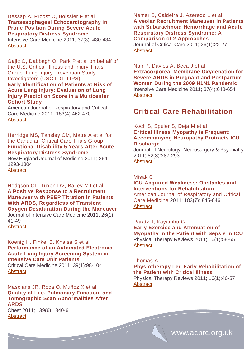# Dessap A, Proost O, Boissier F et al **Transesophageal Echocardiography in Prone Position During Severe Acute Respiratory Distress Syndrome**

Intensive Care Medicine 2011; 37(3): 430-434 **[Abstract](http://icmjournal.esicm.org/journals/abstract.html?v=37&j=134&i=3&a=2114_10.1007_s00134-010-2114-z&doi)** 

Gajic O, Dabbagh O, Park P et al on behalf of the U.S. Critical Illness and Injury Trials Group: Lung Injury Prevention Study Investigators (USCIITG–LIPS) **Early Identification of Patients at Risk of Acute Lung Injury: Evaluation of Lung Injury Prediction Score in a Multicenter Cohort Study**

American Journal of Respiratory and Critical Care Medicine 2011; 183(4):462-470 **[Abstract](http://ajrccm.atsjournals.org/cgi/content/abstract/183/4/462)** 

# Herridge MS, Tansley CM, Matte A et al for the Canadian Critical Care Trials Group **Functional Disablility 5 Years After Acute Respiratory Distress Syndrome**

New England Journal of Medicine 2011; 364: 1293-1304 **[Abstract](http://www.nejm.org/doi/full/10.1056/NEJMoa1011802)** 

Hodgson CL, Tuxen DV, Bailey MJ et al **A Positive Response to a Recruitment Maneuver with PEEP Titration in Patients With ARDS, Regardless of Transient Oxygen Desaturation During the Maneuver** Journal of Intensive Care Medicine 2011; 26(1):

41-49 **[Abstract](http://jic.sagepub.com/content/26/1/41.full.pdf+html)** 

## Koenig H, Finkel B, Khalsa S et al **Performance of an Automated Electronic Acute Lung Injury Screening System in Intensive Care Unit Patients**

Critical Care Medicine 2011; 39(1):98-104 **[Abstract](http://journals.lww.com/ccmjournal/Abstract/2011/01000/Performance_of_an_automated_electronic_acute_lung.16.aspx)** 

Masclans JR, Roca O, Muñoz X et al **Quality of Life, Pulmonary Function, and Tomographic Scan Abnormalities After ARDS**

Chest 2011; 139(6):1340-6 **[Abstract](http://www.ncbi.nlm.nih.gov/pubmed?term=Quality%20of%20life%2C%20pulmonary%20function%2C%20and%20tomographic%20scan%20abnormalities%20after%20ARDS)** 

# Nemer S, Caldeira J, Azeredo L et al **Alveolar Recruitment Maneuver in Patients with Subarachnoid Hemorrhage and Acute Respiratory Distress Syndrome: A Comparison of 2 Approaches**

[Journal of Critical Care](http://www.sciencedirect.com/science/journal/08839441) [2011; 26\(1\)](http://www.sciencedirect.com/science/journal/08839441):22-27 **[Abstract](http://www.sciencedirect.com/science/article/pii/S088394411000122X)** 

Nair P, Davies A, Beca J et al **Extracorporeal Membrane Oxygenation for Severe ARDS in Pregnant and Postpartum Women During the 2009 H1N1 Pandemic** Intensive Care Medicine 2011; 37(4):648-654 **[Abstract](http://icmjournal.esicm.org/journals/abstract.html?v=37&j=134&i=4&a=2138_10.1007_s00134-011-2138-z&doi)** 

# **Critical Care Rehabilitation**

## Koch S, Spuler S, Deja M et al **Critical Illness Myopathy is Frequent: Accompanying Neuropathy Protracts ICU Discharge**

Journal of Neurology, Neurosurgery & Psychiatry 2011; 82(3):287-293 **Abstract** 

## Misak C

# **ICU-Acquired Weakness: Obstacles and Interventions for Rehabilitation**

American Journal of Respiratory and Critical Care Medicine 2011; 183(7): 845-846 [Abstract](http://ajrccm.atsjournals.org/cgi/content/full/183/7/845)

## Paratz J, Kayambu G

**Early Exercise and Attenuation of Myopathy in the Patient with Sepsis in ICU**  Physical Therapy Reviews 2011; 16(1):58-65 **[Abstract](http://www.ingentaconnect.com/content/maney/ptr/2011/00000016/00000001/art00009)** 

## Thomas A

# **Physiotherapy Led Early Rehabilitation of the Patient with Critical Illness**

Physical Therapy Reviews 2011; 16(1):46-57 **Abstract**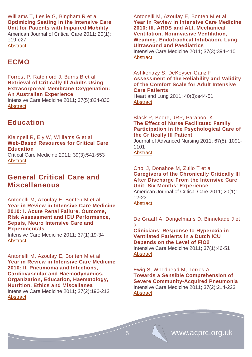Williams T, Leslie G, Bingham R et al **Optimizing Seating in the Intensive Care Unit for Patients with Impaired Mobility** 

American Journal of Critical Care 2011; 20(1): e19-e27 **[Abstract](http://ajcc.aacnjournals.org/content/20/1/e19.full.pdf+html)** 

# **ECMO**

Forrest P, Ratchford J, Burns B et al **Retrieval of Critically Ill Adults Using Extracorporeal Membrane Oxygenation: An Australian Experience** Intensive Care Medicine 2011; 37(5):824-830

**[Abstract](http://icmjournal.esicm.org/journals/abstract.html?v=37&j=134&i=5&a=2158_10.1007_s00134-011-2158-8&doi)** 

# **Education**

Kleinpell R, Ely W, Williams G et al **Web-Based Resources for Critical Care Education** Critical Care Medicine 2011; 39(3):541-553

**[Abstract](http://journals.lww.com/ccmjournal/Abstract/2011/03000/Web_based_resources_for_critical_care_education.17.aspx)** 

# **General Critical Care and Miscellaneous**

Antonelli M, Azoulay E, Bonten M et al **Year in Review in Intensive Care Medicine 2010: I. Acute Renal Failure, Outcome, Risk Assessment and ICU Performance, Sepsis, Neuro Intensive Care and Experimentals**

Intensive Care Medicine 2011; 37(1):19-34 **[Abstract](http://icmjournal.esicm.org/journals/abstract.html?v=37&j=134&i=1&a=2112_10.1007_s00134-010-2112-1&doi)** 

Antonelli M, Azoulay E, Bonten M et al **Year in Review in Intensive Care Medicine 2010: II. Pneumonia and Infections, Cardiovascular and Haemodynamics, Organization, Education, Haematology, Nutrition, Ethics and Miscellanea** Intensive Care Medicine 2011; 37(2):196-213 **[Abstract](http://icmjournal.esicm.org/journals/abstract.html?v=37&j=134&i=2&a=2123_10.1007_s00134-010-2123-y&doi)** 

Antonelli M, Azoulay E, Bonten M et al **Year in Review in Intensive Care Medicine 2010: III. ARDS and ALI, Mechanical Ventilation, Noninvasive Ventilation, Weaning, Endotracheal Intubation, Lung Ultrasound and Paediatrics** Intensive Care Medicine 2011; 37(3):394-410

**[Abstract](http://icmjournal.esicm.org/journals/abstract.html?v=37&j=134&i=3&a=2136_10.1007_s00134-011-2136-1&doi)** 

## Ashkenazy S, DeKeyser-Ganz F **Assessment of the Reliability and Validity of the Comfort Scale for Adult Intensive Care Patients**

Heart and Lung 2011; 40(3):e44-51 **[Abstract](http://www.sciencedirect.com/science/article/pii/S014795631000004X)** 

# Black P, Boore, JRP, Parahoo, K **The Effect of Nurse Facilitated Family Participation in the Psychological Care of the Critically Ill Patient**

Journal of Advanced Nursing 2011; 67(5): 1091- 1101

[Abstract](http://onlinelibrary.wiley.com/doi/10.1111/j.1365-2648.2010.05558.x/abstract)

## Choi J, Donahoe M, Zullo T et al **Caregivers of the Chronically Critically Ill After Discharge From the Intensive Care Unit: Six Months' Experience**

American Journal of Critical Care 2011; 20(1): 12-23

**[Abstract](http://ajcc.aacnjournals.org/content/20/1/12.full.pdf+html)** 

De Graaff A, Dongelmans D, Binnekade J et al

**Clinicians' Response to Hyperoxia in Ventilated Patients in a Dutch ICU Depends on the Level of FiO2** Intensive Care Medicine 2011; 37(1):46-51 **[Abstract](http://icmjournal.esicm.org/journals/abstract.html?v=37&j=134&i=1&a=2025_10.1007_s00134-010-2025-z&doi)** 

Ewig S, Woodhead M, Torres A **Towards a Sensible Comprehension of Severe Community-Acquired Pneumonia** Intensive Care Medicine 2011; 37(2):214-223 **[Abstract](http://icmjournal.esicm.org/journals/abstract.html?v=37&j=134&i=2&a=2077_10.1007_s00134-010-2077-0&doi)**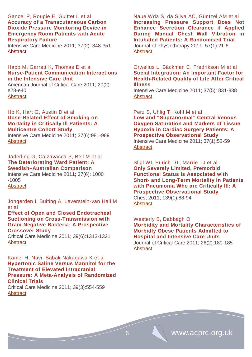## Gancel P, Roupie E, Guittet L et al **Accuracy of a Transcutaneous Carbon Dioxide Pressure Monitoring Device in Emergency Room Patients with Acute Respiratory Failure**

Intensive Care Medicine 2011; 37(2): 348-351 **[Abstract](http://icmjournal.esicm.org/journals/abstract.html?v=37&j=134&i=2&a=2076_10.1007_s00134-010-2076-1&doi)** 

## Happ M, Garrett K, Thomas D et al **Nurse-Patient Communication Interactions in the Intensive Care Unit**

American Journal of Critical Care 2011; 20(2): e28-e40 **[Abstract](http://ajcc.aacnjournals.org/content/20/2/e28.full.pdf+html)** 

Ho K, Hart G, Austin D et al **Dose-Related Effect of Smoking on Mortality in Critically Ill Patients: A Multicentre Cohort Study** Intensive Care Medicine 2011; 37(6):981-989

**[Abstract](http://icmjournal.esicm.org/journals/abstract.html?v=37&j=134&i=6&a=2184_10.1007_s00134-011-2184-6&doi)** 

# Jäderling G, Calzavacca P, Bell M et al **The Deteriorating Ward Patient: A Swedish–Australian Comparison**

Intensive Care Medicine 2011; 37(6): 1000 -1005 **[Abstract](http://icmjournal.esicm.org/journals/abstract.html?v=37&j=134&i=6&a=2156_10.1007_s00134-011-2156-x&doi)** 

Jongerden I, Buiting A, Leverstein-van Hall M et al

#### **Effect of Open and Closed Endotracheal Suctioning on Cross-Transmission with Gram-Negative Bacteria: A Prospective Crossover Study**

Critical Care Medicine 2011; 39(6):1313-1321 **[Abstract](http://journals.lww.com/ccmjournal/Abstract/2011/06000/Effect_of_open_and_closed_endotracheal_suctioning.12.aspx)** 

## Kamel H, Navi, Babak Nakagawa K et al **Hypertonic Saline Versus Mannitol for the Treatment of Elevated Intracranial Pressure: A Meta-Analysis of Randomized Clinical Trials**

Critical Care Medicine 2011; 39(3):554-559 **[Abstract](http://journals.lww.com/ccmjournal/Abstract/2011/03000/Hypertonic_saline_versus_mannitol_for_the.18.aspx)** 

Naue Wda S, da Silva AC, Güntzel AM et al **Increasing Pressure Support Does Not Enhance Secretion Clearance if Applied During Manual Chest Wall Vibration in Intubated Patients: A Randomised Trial** Journal of Physiotherapy 2011; 57(1):21-6 **[Abstract](http://www.ncbi.nlm.nih.gov/pubmed/21402326)** 

#### Orwelius L, Bäckman C, Fredrikson M et al **Social Integration: An Important Factor for Health-Related Quality of Life After Critical Illness**

Intensive Care Medicine 2011; 37(5): 831-838 **[Abstract](http://icmjournal.esicm.org/journals/abstract.html?v=37&j=134&i=5&a=2137_10.1007_s00134-011-2137-0&doi)** 

# Perz S, Uhlig T, Kohl M et al **Low and "Supranormal" Central Venous Oxygen Saturation and Markers of Tissue Hypoxia in Cardiac Surgery Patients: A Prospective Observational Study** Intensive Care Medicine 2011; 37(1):52-59 **[Abstract](http://icmjournal.esicm.org/journals/abstract.html?v=37&j=134&i=1&a=1980_10.1007_s00134-010-1980-8&doi)**

Sligl WI, Eurich DT, Marrie TJ et al **Only Severely Limited, Premorbid** 

**Functional Status is Associated with Short- and Long-Term Mortality in Patients with Pneumonia Who are Critically Ill: A Prospective Observational Study** Chest 2011; 139(1):88-94 **[Abstract](http://www.ncbi.nlm.nih.gov/pubmed?term=Only%20severely%20limited%2C%20premorbid%20functional%20status%20is%20associated%20with%20short-%20and%20long-term%20mortality%20in%20patients%20with%20pneumonia%20who%20are%20critically%20ill%3A%20a%20prospective%20observational%20study)** 

Westerly B, Dabbagh O **Morbidity and Mortality Characteristics of Morbidly Obese Patients Admitted to Hospital and Intensive Care Units** Journal of Critical Care 2011; 26(2):180-185 **[Abstract](http://www.sciencedirect.com/science/article/pii/S0883944110002789)**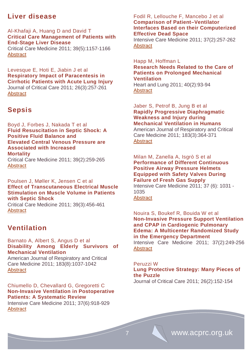# **Liver disease**

Al-Khafaji A, Huang D and David T **Critical Care Management of Patients with End-Stage Liver Disease** Critical Care Medicine 2011; 39(5):1157-1166 **[Abstract](http://journals.lww.com/ccmjournal/Abstract/2011/05000/Critical_care_management_of_patients_with.33.aspx)** 

Levesque E, Hoti E, Jiabin J et al **Respiratory Impact of Paracentesis in Cirrhotic Patients with Acute Lung Injury** Journal of Critical Care 2011; 26(3):257-261 **[Abstract](http://www.sciencedirect.com/science/article/pii/S0883944110002601)** 

# **Sepsis**

Boyd J, Forbes J, Nakada T et al **Fluid Resuscitation in Septic Shock: A Positive Fluid Balance and Elevated Central Venous Pressure are Associated with Increased Mortality** Critical Care Medicine 2011; 39(2):259-265 **[Abstract](http://journals.lww.com/ccmjournal/Abstract/2011/02000/Fluid_resuscitation_in_septic_shock__A_positive.3.aspx)** 

Poulsen J, Møller K, Jensen C et al **Effect of Transcutaneous Electrical Muscle Stimulation on Muscle Volume in Patients with Septic Shock**

Critical Care Medicine 2011; 39(3):456-461 [Abstract](http://journals.lww.com/ccmjournal/Abstract/2011/03000/Effect_of_transcutaneous_electrical_muscle.5.aspx)

# **Ventilation**

**[Abstract](http://icmjournal.esicm.org/journals/abstract.html?v=37&j=134&i=6&a=2210_10.1007_s00134-011-2210-8&doi)** 

Barnato A, Albert S, Angus D et al **Disability Among Elderly Survivors of Mechanical Ventilation** 

American Journal of Respiratory and Critical Care Medicine 2011; 183(8):1037-1042 [Abstract](http://ajrccm.atsjournals.org/cgi/content/abstract/183/8/1037)

Chiumello D, Chevallard G, Gregoretti C **Non-Invasive Ventilation in Postoperative Patients: A Systematic Review** Intensive Care Medicine 2011; 37(6):918-929

Fodil R, Lellouche F, Mancebo J et al **Comparison of Patient–Ventilator Interfaces Based on their Computerized Effective Dead Space**

Intensive Care Medicine 2011; 37(2):257-262 **[Abstract](http://icmjournal.esicm.org/journals/abstract.html?v=37&j=134&i=2&a=2066_10.1007_s00134-010-2066-3&doi)** 

Happ M, Hoffman L **Research Needs Related to the Care of Patients on Prolonged Mechanical Ventilation**  Heart and Lung 2011; 40(2):93-94 **[Abstract](http://download.journals.elsevierhealth.com/pdfs/journals/0147-9563/PIIS0147956310004735.pdf)** 

Jaber S, Petrof B, Jung B et al **Rapidly Progressive Diaphragmatic Weakness and Injury during Mechanical Ventilation in Humans**

American Journal of Respiratory and Critical Care Medicine 2011; 183(3):364-371 **[Abstract](http://ajrccm.atsjournals.org/cgi/content/abstract/183/3/364)** 

Milan M, Zanella A, Isgrò S et al **Performance of Different Continuous Positive Airway Pressure Helmets Equipped with Safety Valves During Failure of Fresh Gas Supply** Intensive Care Medicine 2011; 37 (6): 1031 - 1035 **[Abstract](http://icmjournal.esicm.org/journals/abstract.html?v=37&j=134&i=6&a=2207_10.1007_s00134-011-2207-3&doi)** 

Nouira S, Boukef R, Bouida W et al **Non-Invasive Pressure Support Ventilation and CPAP in Cardiogenic Pulmonary Edema: A Multicenter Randomized Study in the Emergency Department**

Intensive Care Medicine 2011; 37(2):249-256 **[Abstract](http://icmjournal.esicm.org/journals/abstract.html?v=37&j=134&i=2&a=2082_10.1007_s00134-010-2082-3&doi)** 

#### Peruzzi W

**Lung Protective Strategy: Many Pieces of the Puzzle**

Journal of Critical Care 2011; 26(2):152-154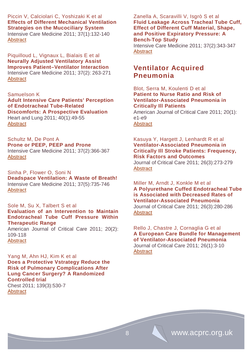Piccin V, Calciolari C, Yoshizaki K et al **Effects of Different Mechanical Ventilation Strategies on the Mucociliary System** Intensive Care Medicine 2011; 37(1):132-140 **[Abstract](http://icmjournal.esicm.org/journals/abstract.html?v=37&j=134&i=1&a=2056_10.1007_s00134-010-2056-5&doi)** 

Piquilloud L, Vignaux L, Bialais E et al **Neurally Adjusted Ventilatory Assist Improves Patient–Ventilator Interaction** Intensive Care Medicine 2011; 37(2): 263-271 **[Abstract](http://icmjournal.esicm.org/journals/abstract.html?v=37&j=134&i=2&a=2052_10.1007_s00134-010-2052-9&doi)** 

## Samuelson K

**Adult Intensive Care Patients' Perception of Endotracheal Tube-Related Discomforts: A Prospective Evaluation** Heart and Lung 2011; 40(1):49-55 **[Abstract](http://www.sciencedirect.com/science/article/pii/S0147956310000026)** 

Schultz M, De Pont A **Prone or PEEP, PEEP and Prone** Intensive Care Medicine 2011; 37(2):366-367 **[Abstract](http://icmjournal.esicm.org/journals/abstract.html?v=37&j=134&i=2&a=2070_10.1007_s00134-010-2070-7&doi)** 

Sinha P, Flower O, Soni N **Deadspace Ventilation: A Waste of Breath!** Intensive Care Medicine 2011; 37(5):735-746 **[Abstract](http://icmjournal.esicm.org/journals/abstract.html?v=37&j=134&i=5&a=2194_10.1007_s00134-011-2194-4&doi)** 

# Sole M, Su X, Talbert S et al

**Evaluation of an Intervention to Maintain Endotracheal Tube Cuff Pressure Within Therapeutic Range** 

American Journal of Critical Care 2011; 20(2): 109-118 **[Abstract](http://ajcc.aacnjournals.org/content/20/2/109.full.pdf+html)** 

Yang M, Ahn HJ, Kim K et al **Does a Protective Vstrategy Reduce the Risk of Pulmonary Complications After Lung Cancer Surgery? A Randomized Controlled trial** Chest 2011; 139(3):530-7 **[Abstract](http://www.ncbi.nlm.nih.gov/pubmed?term=Does%20a%20protective%20ventilation%20strategy%20reduce%20the%20risk%20of%20pulmonary%20complications%20after%20lung%20cancer%20surgery%3F%3A%20a%20randomized%20controlled%20trial)** 

Zanella A, Scaravilli V, Isgrò S et al **Fluid Leakage Across Tracheal Tube Cuff, Effect of Different Cuff Material, Shape, and Positive Expiratory Pressure: A Bench-Top Study**

Intensive Care Medicine 2011; 37(2):343-347 **[Abstract](http://icmjournal.esicm.org/journals/abstract.html?v=37&j=134&i=2&a=2106_10.1007_s00134-010-2106-z&doi)** 

# **Ventilator Acquired Pneumonia**

## Blot, Serra M, Koulenti D et al **Patient to Nurse Ratio and Risk of Ventilator-Associated Pneumonia in Critically Ill Patients**

American Journal of Critical Care 2011; 20(1): e1-e9 **[Abstract](http://ajcc.aacnjournals.org/content/20/1/e1.full.pdf+html)** 

Kasuya Y, Hargett J, Lenhardt R et al **Ventilator-Associated Pneumonia in Critically Ill Stroke Patients: Frequency, Risk Factors and Outcomes**

Journal of Critical Care 2011; 26(3):273-279 **[Abstract](http://www.sciencedirect.com/science/article/pii/S0883944110002790)** 

Miller M, Arndt J, Konkle M et al **A Polyurethane Cuffed Endotracheal Tube is Associated with Decreased Rates of Ventilator-Associated Pneumonia**

[Journal of Critical Care](http://www.sciencedirect.com/science/journal/08839441) 2011; 26(3):280-286 **[Abstract](http://www.sciencedirect.com/science/article/pii/S0883944110001632)** 

Rello J, Chastre J, Cornaglia G et al **A European Care Bundle for Management of Ventilator-Associated Pneumonia** Journal of Critical Care 2011; 26(1):3-10 **[Abstract](http://www.sciencedirect.com/science/article/pii/S0883944110000833)**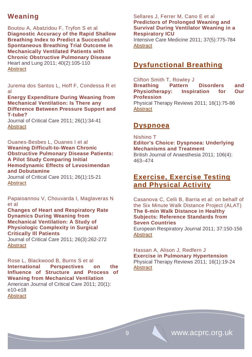# **Weaning**

Boutou A, Abatzidou F, Tryfon S et al **Diagnostic Accuracy of the Rapid Shallow Breathing Index to Predict a Successful Spontaneous Breathing Trial Outcome in Mechanically Ventilated Patients with Chronic Obstructive Pulmonary Disease** Heart and Lung 2011; 40(2):105-110 **[Abstract](http://www.sciencedirect.com/science/article/pii/S0147956310000634)** 

Jurema dos Santos L, Hoff F, Condessa R et al

## **Energy Expenditure During Weaning from Mechanical Ventilation: Is There any Difference Between Pressure Support and T-tube?**

Journal of Critical Care 2011; 26(1):34-41 **[Abstract](http://www.sciencedirect.com/science/article/pii/S0883944110001607)** 

## Ouanes-Besbes L, Ouanes I et al **Weaning Difficult-to-Wean Chronic Obstructive Pulmonary Disease Patients: A Pilot Study Comparing Initial Hemodynamic Effects of Levosimendan and Dobutamine**

Journal of Critical Care 2011; [26\(1\)](http://www.sciencedirect.com/science?_ob=PublicationURL&_tockey=%23TOC%2312940%232011%23999739998%232892755%23FLA%23&_cdi=12940&_pubType=J&view=c&_auth=y&_acct=C000228598&_version=1&_urlVersion=0&_userid=10&md5=5009cc42e2dbb1e0655667f3163a40c9):15-21 **[Abstract](http://www.sciencedirect.com/science/article/pii/S0883944110000560)** 

Papaioannou V, Chouvarda I, Maglaveras N et al

#### **Changes of Heart and Respiratory Rate Dynamics During Weaning from Mechanical Ventilation: A Study of Physiologic Complexity in Surgical Critically Ill Patients**

Journal of Critical Care 2011; 26(3):262-272 **[Abstract](http://www.sciencedirect.com/science/article/pii/S0883944110001887)** 

Rose L, Blackwood B, Burns S et al **International Perspectives on the Influence of Structure and Process of Weaning from Mechanical Ventilation**  American Journal of Critical Care 2011; 20(1): e10-e18 [Abstract](http://ajcc.aacnjournals.org/content/20/1/e10.full.pdf+html)

# Sellares J, Ferrer M, Cano E et al **Predictors of Prolonged Weaning and Survival During Ventilator Weaning in a Respiratory ICU**

Intensive Care Medicine 2011; 37(5):775-784 **[Abstract](http://icmjournal.esicm.org/journals/abstract.html?v=37&j=134&i=5&a=2179_10.1007_s00134-011-2179-3&doi)** 

# **Dysfunctional Breathing**

Clifton Smith T, Rowley J **Breathing Pattern Disorders and Physiotherapy: Inspiration for Our Profession**  [Physical Therapy Reviews](http://www.ingentaconnect.com/content/maney/ptr) 2011; 16(1):75-86 **[Abstract](http://www.ingentaconnect.com/content/maney/ptr/2011/00000016/00000001/art00011)** 

# **Dyspnoea**

Nishino T **Editor's Choice: Dyspnoea: Underlying Mechanisms and Treatment** British Journal of Anaesthesia 2011; 106(4): 463–474

# **Exercise, Exercise Testing and Physical Activity**

Casanova C, Celli B, Barria et al: on behalf of the Six Minute Walk Distance Project (ALAT) **The 6-min Walk Distance in Healthy Subjects: Reference Standards from Seven Countries** European Respiratory Journal 2011; 37:150-156

**[Abstract](http://erj.ersjournals.com/content/37/1/150.full.pdf+html)** 

#### Hassan A, Alison J, Redfern J **Exercise in Pulmonary Hypertension**  Physical Therapy Reviews 2011; 16(1):19-24 **[Abstract](http://www.ingentaconnect.com/content/maney/ptr/2011/00000016/00000001/art00004)**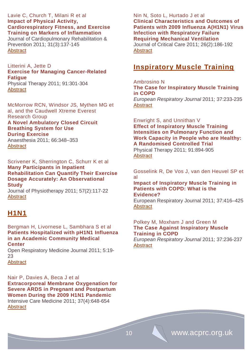## Lavie C, Church T, Milani R et al **Impact of Physical Activity, Cardiorespiratory Fitness, and Exercise Training on Markers of Inflammation**

Journal of Cardiopulmonary Rehabilitation & Prevention 2011; 31(3):137-145 **[Abstract](http://journals.lww.com/jcrjournal/Fulltext/2011/05000/Impact_of_Physical_Activity,_Cardiorespiratory.1.aspx)** 

#### Litterini A, Jette D **Exercise for Managing Cancer-Related**

**Fatigue** Physical Therapy 2011; 91:301-304 **[Abstract](http://ptjournal.apta.org/content/91/2/190.abstract)** 

McMorrow RCN, Windsor JS, Mythen MG et al, and the Caudwell Xtreme Everest Research Group **A Novel Ambulatory Closed Circuit Breathing System for Use During Exercise**  Anaesthesia 2011; 66:348–353 **[Abstract](http://onlinelibrary.wiley.com/doi/10.1111/j.1365-2044.2011.06698.x/abstract)** 

Scrivener K, Sherrington C, Schurr K et al **Many Participants in Inpatient Rehabilitation Can Quantify Their Exercise Dosage Accurately: An Observational Study**

Journal of Physiotherapy 2011; 57(2):117-22 **[Abstract](http://www.ncbi.nlm.nih.gov/pubmed/21684493)** 

# **H1N1**

Bergman H, Livornese L, Sambhara S et al **Patients Hospitalized with pH1N1 Influenza in an Academic Community Medical Center**

Open Respiratory Medicine Journal 2011; 5:19- 23

**[Abstract](http://www.benthamscience.com/open/tormj/openaccess2.htm)** 

Nair P, Davies A, Beca J et al **Extracorporeal Membrane Oxygenation for Severe ARDS in Pregnant and Postpartum Women During the 2009 H1N1 Pandemic** Intensive Care Medicine 2011; 37(4):648-654 **[Abstract](http://icmjournal.esicm.org/journals/abstract.html?v=37&j=134&i=4&a=2138_10.1007_s00134-011-2138-z&doi)** 

# Nin N, Soto L, Hurtado J et al **Clinical Characteristics and Outcomes of Patients with 2009 Influenza A(H1N1) Virus Infection with Respiratory Failure Requiring Mechanical Ventilation**

Journal of Critical Care 2011; 26(2):186-192 **[Abstract](http://www.sciencedirect.com/science/article/pii/S0883944110001590)** 

# **Inspiratory Muscle Training**

# Ambrosino N

**The Case for Inspiratory Muscle Training in COPD** 

*European Respiratory Journal* 2011; 37:233-235 **[Abstract](http://erj.ersjournals.com/content/37/2/233.full.pdf+html)** 

# Enwright S, and Unnithan V **Effect of Inspiratory Muscle Training Intensities on Pulmonary Function and Work Capacity in People who are Healthy: A Randomised Controlled Trial**

Physical Therapy 2011; 91:894-905 **[Abstract](http://ptjournal.apta.org/doi/10.2522/ptj.20090413)** 

Gosselink R, De Vos J, van den Heuvel SP et al

#### **Impact of Inspiratory Muscle Training in Patients with COPD: What is the Evidence?**

European Respiratory Journal 2011; 37:416–425 **[Abstract](http://erj.ersjournals.com/content/37/2/416.full.pdf+html)** 

# Polkey M, Moxham J and Green M **The Case Against Inspiratory Muscle Training in COPD**

*European Respiratory Journal* 2011; 37:236-237 **[Abstract](http://erj.ersjournals.com/content/37/2/236.full.pdf+html)**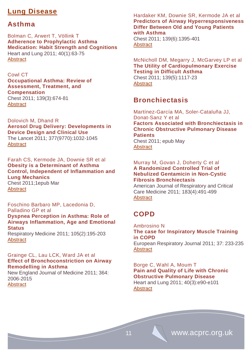# **Lung Disease**

# **Asthma**

Bolman C, Arwert T, Völlink T **Adherence to Prophylactic Asthma Medication: Habit Strength and Cognitions**  Heart and Lung 2011; 40(1):63-75 **[Abstract](http://www.sciencedirect.com/science/article/pii/S0147956310000646)** 

# Cowl CT

**[Occupational Asthma: Review of](http://www.ncbi.nlm.nih.gov/pubmed/21362654)  [Assessment, Treatment, and](http://www.ncbi.nlm.nih.gov/pubmed/21362654)  [Compensation](http://www.ncbi.nlm.nih.gov/pubmed/21362654)** Chest 2011; 139(3):674-81 **[Abstract](http://www.ncbi.nlm.nih.gov/pubmed/21362654)** 

[Dolovich](http://www.thelancet.com/search/results?fieldName=Authors&searchTerm=Myrna%20B+Dolovich) M, Dhand R **Aerosol Drug Delivery: Developments in Device Design and Clinical Use** The Lancet 2011; 377(9770):1032-1045 **[Abstract](http://www.thelancet.com/journals/lancet/article/PIIS0140-6736(10)60926-9/abstract%23)** 

Farah CS, Kermode JA, Downie SR et al **Obesity is a Determinant of Asthma Control, Independent of Inflammation and Lung Mechanics** Chest 2011;1epub Mar **[Abstract](http://www.ncbi.nlm.nih.gov/pubmed?term=Obesity%20is%20a%20determinant%20of%20asthma%20control%2C%20independent%20of%20inflammation%20and%20lung%20mechanics)** 

Foschino Barbaro MP, Lacedonia D, Palladino GP et al **Dyspnea Perception in Asthma: Role of Airways Inflammation, Age and Emotional Status**  Respiratory Medicine 2011; 105(2):195-203 **[Abstract](http://www.sciencedirect.com/science/article/pii/S0954611110004166)** 

# Grainge CL, Lau LCK, Ward JA et al **Effect of Bronchoconstriction on Airway Remodelling in Asthma**

New England Journal of Medicine 2011; 364: 2006-2015 **[Abstract](http://www.nejm.org/doi/full/10.1056/NEJMoa1014350)** 

Hardaker KM, Downie SR, Kermode JA et al **Predictors of Airway Hyperresponsiveness Differ Between Old and Young Patients with Asthma**

Chest 2011; 139(6):1395-401 **[Abstract](http://www.ncbi.nlm.nih.gov/pubmed?term=Predictors%20of%20airway%20hyperresponsiveness%20differ%20between%20old%20and%20young%20patients%20with%20asthma)** 

McNicholl DM, Megarry J, McGarvey LP et al **[The Utility of Cardiopulmonary Exercise](http://www.ncbi.nlm.nih.gov/pubmed/21292756)  [Testing in Difficult Asthma](http://www.ncbi.nlm.nih.gov/pubmed/21292756)** Chest 2011; 139(5):1117-23

**[Abstract](http://www.ncbi.nlm.nih.gov/pubmed?term=The%20utility%20of%20cardiopulmonary%20exercise%20testing%20in%20difficult%20asthma)** 

# **Bronchiectasis**

Martínez-García MA, Soler-Cataluña JJ, Donat-Sanz Y et al **Factors Associated with Bronchiectasis in Chronic Obstructive Pulmonary Disease Patients** Chest 2011; epub May **[Abstract](http://www.ncbi.nlm.nih.gov/pubmed/21546440)** 

## Murray M, Govan J, Doherty C et al **A Randomized Controlled Trial of Nebulized Gentamicin in Non-Cystic Fibrosis Bronchiectasis**

American Journal of Respiratory and Critical Care Medicine 2011; 183(4):491-499 **[Abstract](http://ajrccm.atsjournals.org/cgi/content/abstract/183/4/491)** 

# **COPD**

Ambrosino N **The case for Inspiratory Muscle Training in COPD**  European Respiratory Journal 2011; 37: 233-235 **[Abstract](http://erj.ersjournals.com/content/37/2/233.full.pdf+html)** 

## Borge C, Wahl A, Moum T **Pain and Quality of Life with Chronic Obstructive Pulmonary Disease**  Heart and Lung 2011; 40(3):e90-e101 **[Abstract](http://www.sciencedirect.com/science/article/pii/S0147956310003730)**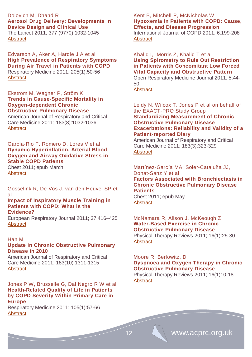# [Dolovich](http://www.thelancet.com/search/results?fieldName=Authors&searchTerm=Myrna%20B+Dolovich) M, Dhand R **Aerosol Drug Delivery: Developments in Device Design and Clinical Use**

The Lancet 2011; 377 (9770):1032-1045 **[Abstract](http://www.thelancet.com/journals/lancet/article/PIIS0140-6736(10)60926-9/abstract%23)** 

Edvarson A, Aker A, Hardie J A et al **High Prevalence of Respiratory Symptoms During Air Travel in Patients with COPD** [Respiratory Medicine](http://www.sciencedirect.com/science/journal/09546111) 2011; 205(1):50-56 **[Abstract](http://www.sciencedirect.com/science/article/pii/S0954611110004336)** 

#### Ekström M, Wagner P, Ström K **Trends in Cause-Specific Mortality in Oxygen-dependent Chronic Obstructive Pulmonary Disease**

American Journal of Respiratory and Critical Care Medicine 2011; 183(8):1032-1036 **[Abstract](http://ajrccm.atsjournals.org/cgi/content/abstract/183/8/1032)** 

## García-Rio F, Romero D, Lores V et al **Dynamic Hyperinflation, Arterial Blood Oxygen and Airway Oxidative Stress in Stable COPD Patients**

Chest 2011; epub March **[Abstract](http://www.ncbi.nlm.nih.gov/pubmed?term=Dynamic%20hyperinflation%2C%20arterial%20blood%20oxygen%20and%20airway%20oxidative%20stress%20in%20stable%20COPD%20patients)** 

Gosselink R, De Vos J, van den Heuvel SP et al

#### **Impact of Inspiratory Muscle Training in Patients with COPD: What is the Evidence?**

European Respiratory Journal 2011; 37:416–425 **[Abstract](http://erj.ersjournals.com/content/37/2/416.full.pdf+html)** 

# Han M

# **Update in Chronic Obstructive Pulmonary Disease in 2010**

American Journal of Respiratory and Critical Care Medicine 2011; 183(10):1311-1315 **[Abstract](http://ajrccm.atsjournals.org/cgi/content/full/183/10/1311)** 

Jones P W, Brusselle G, Dal Negro R W et al **Health-Related Quality of Life in Patients by COPD Severity Within Primary Care in Europe** 

Respiratory Medicine 2011; 105(1):57-66 **[Abstract](http://www.sciencedirect.com/science/article/pii/S0954611110003902)** 

# Kent B, Mitchell P, McNicholas W **Hypoxemia in Patients with COPD: Cause, Effects, and Disease Progression**

International Journal of COPD 2011; 6:199-208 **[Abstract](http://www.ncbi.nlm.nih.gov/pmc/articles/PMC3107696/)** 

# Khalid I, Morris Z, Khalid T et al **Using Spirometry to Rule Out Restriction in Patients with Concomitant Low Forced Vital Capacity and Obstructive Pattern**

Open Respiratory Medicine Journal 2011; 5:44- 50

**[Abstract](http://www.benthamscience.com/open/tormj/openaccess2.htm)** 

## Leidy N, Wilcox T, Jones P et al on behalf of the EXACT-PRO Study Group **Standardizing Measurement of Chronic Obstructive Pulmonary Disease Exacerbations: Reliability and Validity of a Patient-reported Diary**

American Journal of Respiratory and Critical Care Medicine 2011; 183(3):323-329 **[Abstract](http://ajrccm.atsjournals.org/cgi/content/abstract/183/3/323)** 

# Martínez-García MA, Soler-Cataluña JJ, Donat-Sanz Y et al **Factors Associated with Bronchiectasis in Chronic Obstructive Pulmonary Disease Patients**

Chest 2011; epub May **[Abstract](http://www.ncbi.nlm.nih.gov/pubmed/21546440)** 

# McNamara R, Alison J, McKeough Z **Water-Based Exercise in Chronic Obstructive Pulmonary Disease**

Physical Therapy Reviews 2011; 16(1):25-30 **[Abstract](http://www.ingentaconnect.com/content/maney/ptr/2011/00000016/00000001/art00005)** 

# Moore R, Berlowitz, D **Dyspnoea and Oxygen Therapy in Chronic Obstructive Pulmonary Disease**

Physical Therapy Reviews 2011; 16(1)10-18 **[Abstract](http://www.ingentaconnect.com/content/maney/ptr/2011/00000016/00000001/art00003)** 

12 **WWW.acprc.org.uk**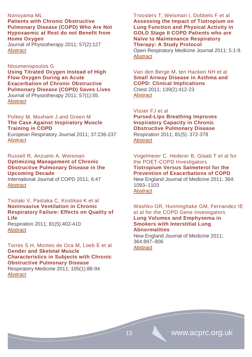Nonoyama ML **Patients with Chronic Obstructive Pulmonary Disease (COPD) Who Are Not Hypoxaemic at Rest do not Benefit from Home Oxygen** Journal of Physiotherapy 2011; 57(2):127

**[Abstract](http://www.ncbi.nlm.nih.gov/pubmed/21684496)** 

Ntoumenopoulos G **Using Titrated Oxygen Instead of High Flow Oxygen During an Acute Exacerbation of Chronic Obstructive Pulmonary Disease (COPD) Saves Lives** Journal of Physiotherapy 2011; 57(1):55. [Abstract](http://www.ncbi.nlm.nih.gov/pubmed/21402331)

Polkey M, Moxham J and Green M **The Case Against Inspiratory Muscle Training in COPD** 

European Respiratory Journal 2011; 37:236-237 **[Abstract](http://erj.ersjournals.com/content/37/2/236.full.pdf+html)** 

Russell R, Anzueto A, Weisman **Optimizing Management of Chronic Obstructive Pulmonary Disease in the Upcoming Decade**

International Journal of COPD 2011; 6:47 **[Abstract](http://www.ncbi.nlm.nih.gov/pmc/articles/PMC3034289/)** 

Tsolaki V, Pastaka C, Kostikas K et al **Noninvasive Ventilation in Chronic Respiratory Failure: Effects on Quality of Life** Respiration 2011; 81(5):402-410 **[Abstract](http://content.karger.com/ProdukteDB/produkte.asp?Aktion=ShowAbstract&ArtikelNr=317138&Ausgabe=255040&ProduktNr=224278)** 

Torres S H, Montes de Oca M, Loeb E et al **Gender and Skeletal Muscle Characteristics in Subjects with Chronic Obstructive Pulmonary Disease**  Respiratory Medicine 2011; 105(1):88-94 **[Abstract](http://www.sciencedirect.com/science/article/pii/S095461111000226X)** 

Troosters T, Weisman I, Dobbels F et al **Assessing the Impact of Tiotropium on Lung Function and Physical Activity in GOLD Stage II COPD Patients who are Naïve to Maintenance Respiratory Therapy: A Study Protocol** 

Open Respiratory Medicine Journal 2011; 5:1-9. **[Abstract](http://www.benthamscience.com/open/tormj/openaccess2.htm)** 

Van den Berge M, ten Hacken NH et al **[Small Airway Disease in Asthma and](http://www.ncbi.nlm.nih.gov/pubmed/21285055)  [COPD: Clinical Implications](http://www.ncbi.nlm.nih.gov/pubmed/21285055)** Chest 2011; 139(2):412-23 **[Abstract](http://www.ncbi.nlm.nih.gov/pubmed/21285055)** 

Visser FJ et al **Pursed-Lips Breathing Improves Inspiratory Capacity in Chronic Obstructive Pulmonary Disease** Respiration 2011; 81(5): 372-378 **[Abstract](http://content.karger.com/ProdukteDB/produkte.asp?Aktion=ShowAbstract&ArtikelNr=319036&Ausgabe=255040&ProduktNr=224278)** 

Vogelmeier C. Hederer B, Glaab T et al for the POET-COPD Investigators **Tiotropium Versus Salmeterol for the Prevention of Exacerbations of COPD** New England Journal of Medicine 2011; 364: 1093–1103 [Abstract](http://www.nejm.org/doi/full/10.1056/NEJMoa1008378)

Washko GR, Hunninghake GM, Fernandez IE et al for the COPD Gene Investigators **Lung Volumes and Emphysema in Smokers with Interstitial Lung Abnormalities**

New England Journal of Medicine 2011; 364:897–906 **[Abstract](http://www.nejm.org/doi/full/10.1056/NEJMoa1007285)**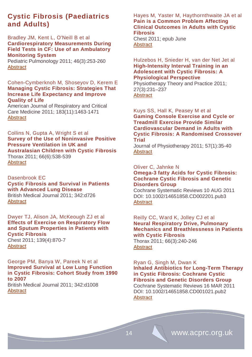# **Cystic Fibrosis (Paediatrics and Adults)**

Bradley JM, Kent L, O'Neill B et al **Cardiorespiratory Measurements During Field Tests in CF: Use of an Ambulatory Monitoring System**

Pediatric Pulmonology 2011; 46(3):253-260 **[Abstract](http://www.ncbi.nlm.nih.gov/pubmed/20967834)** 

## Cohen-Cymberknoh M, Shoseyov D, Kerem E **Managing Cystic Fibrosis: Strategies That Increase Life Expectancy and Improve Quality of Life**

American Journal of Respiratory and Critical Care Medicine 2011; 183(11):1463-1471 **[Abstract](http://ajrccm.atsjournals.org/cgi/content/abstract/183/11/1463)** 

## Collins N, Gupta A, Wright S et al **Survey of the Use of Noninvasive Positive Pressure Ventilation in UK and Australasian Children with Cystic Fibrosis** Thorax 2011; 66(6):538-539 [Abstract](http://thorax.bmj.com/content/66/6/538.full)

Dasenbrook EC **[Cystic Fibrosis and Survival in Patients](http://www.ncbi.nlm.nih.gov/pubmed/21382942)  [with Advanced Lung Disease](http://www.ncbi.nlm.nih.gov/pubmed/21382942)** British Medical Journal 2011; 342:d726 **[Abstract](http://www.bmj.com/content/342/bmj.d726.extract)** 

Dwyer TJ, Alison JA, McKeough ZJ et al **[Effects of Exercise on Respiratory Flow](http://www.ncbi.nlm.nih.gov/pubmed/20829339)  [and Sputum Properties in](http://www.ncbi.nlm.nih.gov/pubmed/20829339) Patients with [Cystic Fibrosis](http://www.ncbi.nlm.nih.gov/pubmed/20829339)**

Chest 2011; 139(4):870-7 **[Abstract](http://www.ncbi.nlm.nih.gov/pubmed/20829339)** 

# George PM, Banya W, Pareek N et al **Improved Survival at Low Lung Function in Cystic Fibrosis: Cohort Study from 1990 to 2007**

British Medical Journal 2011; 342:d1008 **[Abstract](http://www.ncbi.nlm.nih.gov/pmc/articles/PMC3045791/?tool=pubmed)** 

Hayes M, Yaster M, Haythornthwaite JA et al **[Pain is a Common Problem Affecting](http://www.ncbi.nlm.nih.gov/pubmed/21659431)  [Clinical Outcomes in Adults with Cystic](http://www.ncbi.nlm.nih.gov/pubmed/21659431)  [Fibrosis](http://www.ncbi.nlm.nih.gov/pubmed/21659431)**

Chest 2011; epub June **[Abstract](http://www.ncbi.nlm.nih.gov/pubmed?term=Pain%20is%20a%20common%20problem%20affecting%20clinical%20outcomes%20in%20adults%20with%20cystic%20fibrosis)** 

## Hulzebos H, Snieder H, van der Net Jet al **High-Intensity Interval Training in an Adolescent with Cystic Fibrosis: A Physiological Perspective**

Physiotherapy Theory and Practice 2011; 27(3):231–237 **[Abstract](http://informahealthcare.com/doi/abs/10.3109/09593985.2010.483266)** 

## Kuys SS, Hall K, Peasey M et al **Gaming Console Exercise and Cycle or Treadmill Exercise Provide Similar Cardiovascular Demand in Adults with Cystic Fibrosis: A Randomised Crossover Trial**

Journal of Physiotherapy 2011; 57(1):35-40 **[Abstract](http://www.ncbi.nlm.nih.gov/pubmed/21402328)** 

## Oliver C, Jahnke N

## **Omega-3 fatty Acids for Cystic Fibrosis: [Cochrane Cystic Fibrosis and Genetic](http://onlinelibrary.wiley.com/o/cochrane/clabout/articles/CF/frame.html)  [Disorders Group](http://onlinelibrary.wiley.com/o/cochrane/clabout/articles/CF/frame.html)**

Cochrane Systematic Reviews 10 AUG 2011 DOI: 10.1002/14651858.CD002201.pub3 **[Abstract](http://onlinelibrary.wiley.com/doi/10.1002/14651858.CD002201.pub3/abstract)** 

# Reilly CC, Ward K, Jolley CJ et al **Neural Respiratory Drive, Pulmonary Mechanics and Breathlessness in Patients with Cystic Fibrosis** Thorax 2011; 66(3):240-246

**[Abstract](http://thorax.bmj.com/content/66/3/240.abstract)** 

# Ryan G, Singh M, Dwan K **Inhaled Antibiotics for Long-Term Therapy in Cystic Fibrosis: [Cochrane Cystic](http://onlinelibrary.wiley.com/o/cochrane/clabout/articles/CF/frame.html)  [Fibrosis and Genetic Disorders Group](http://onlinelibrary.wiley.com/o/cochrane/clabout/articles/CF/frame.html)** Cochrane Systematic Reviews 16 MAR 2011 DOI: 10.1002/14651858.CD001021.pub2

**[Abstract](http://onlinelibrary.wiley.com/doi/10.1002/14651858.CD001021.pub2/abstract)**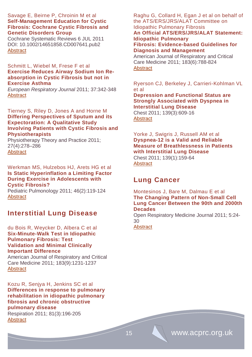## Savage E, Beirne P, Chroinin M et al **Self-Management Education for Cystic Fibrosis: [Cochrane Cystic Fibrosis and](http://onlinelibrary.wiley.com/o/cochrane/clabout/articles/CF/frame.html)  [Genetic Disorders Group](http://onlinelibrary.wiley.com/o/cochrane/clabout/articles/CF/frame.html)**

Cochrane Systematic Reviews 6 JUL 2011 DOI: 10.1002/14651858.CD007641.pub2 **[Abstract](http://onlinelibrary.wiley.com/doi/10.1002/14651858.CD007641.pub2/abstract)** 

## Schmitt L, Wiebel M, Frese F et al **Exercise Reduces Airway Sodium Ion Reabsorption in Cystic Fibrosis but not in Exercise Asthma**

*European Respiratory Journal* 2011; 37:342-348 **[Abstract](http://erj.ersjournals.com/content/37/2/342.full.pdf+html)** 

Tierney S, Riley D, Jones A and Horne M **Differing Perspectives of Sputum and its Expectoration: A Qualitative Study Involving Patients with Cystic Fibrosis and Physiotherapists**

Physiotherapy Theory and Practice 2011; 27(4):278–286 **[Abstract](http://informahealthcare.com/doi/abs/10.3109/09593985.2010.501849)** 

Werkman MS, Hulzebos HJ, Arets HG et al **Is Static Hyperinflation a Limiting Factor During Exercise in Adolescents with Cystic Fibrosis?**

Pediatric Pulmonology 2011; 46(2):119-124 **[Abstract](http://www.ncbi.nlm.nih.gov/pubmed/20812244)** 

# **Interstitial Lung Disease**

du Bois R, Weycker D, Albera C et al **Six-Minute-Walk Test in Idiopathic Pulmonary Fibrosis: Test Validation and Minimal Clinically Important Difference**

American Journal of Respiratory and Critical Care Medicine 2011; 183(9):1231-1237 **[Abstract](http://ajrccm.atsjournals.org/cgi/content/abstract/183/9/1231)** 

Kozu R, Senjya H, Jenkins SC et al **Differences in response to pulmonary rehabilitation in idiopathic pulmonary fibrosis and chronic obstructive pulmonary disease** Respiration 2011; 81(3):196-205 **[Abstract](http://content.karger.com/ProdukteDB/produkte.asp?Aktion=ShowAbstract&ArtikelNr=315475&Ausgabe=254892&ProduktNr=224278)** 

Raghu G, Collard H, Egan J et al on behalf of the ATS/ERS/JRS/ALAT Committee on Idiopathic Pulmonary Fibrosis **An Official ATS/ERS/JRS/ALAT Statement: Idiopathic Pulmonary Fibrosis: Evidence-based Guidelines for Diagnosis and Management** 

American Journal of Respiratory and Critical Care Medicine 2011; 183(6):788-824 **[Abstract](http://ajrccm.atsjournals.org/cgi/content/abstract/183/6/788)** 

Ryerson CJ, Berkeley J, Carrieri-Kohlman VL et al **Depression and Functional Status are Strongly Associated with Dyspnea in Interstitial Lung Disease** Chest 2011; 139(3):609-16 **[Abstract](http://www.ncbi.nlm.nih.gov/pubmed?term=Depression%20and%20functional%20status%20are%20strongly%20associated%20with%20dyspnea%20in%20interstitial%20lung%20disease)** 

Yorke J, Swigris J, Russell AM et al **Dyspnea-12 is a Valid and Reliable Measure of Breathlessness in Patients with Interstitial Lung Disease** Chest 2011; 139(1):159-64 **[Abstract](http://www.ncbi.nlm.nih.gov/pubmed?term=Dyspnea-12%20is%20a%20valid%20and%20reliable%20measure%20of%20breathlessness%20in%20patients%20with%20interstitial%20lung%20disease)** 

# **Lung Cancer**

## Montesinos J, Bare M, Dalmau E et al **The Changing Pattern of Non-Small Cell Lung Cancer Between the 90th and 2000th Decades**

Open Respiratory Medicine Journal 2011; 5:24- 30

**[Abstract](http://www.benthamscience.com/open/tormj/openaccess2.htm)**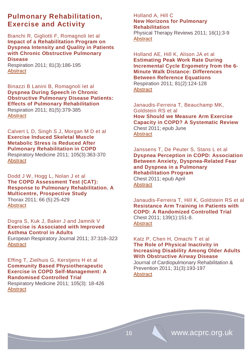# **Pulmonary Rehabilitation, Exercise and Activity**

Bianchi R, Gigliotti F, Romagnoli Iet al **Impact of a Rehabilitation Program on Dyspnea Intensity and Quality in Patients with Chronic Obstructive Pulmonary Disease**

Respiration 2011; 81(3):186-195 **[Abstract](http://content.karger.com/ProdukteDB/produkte.asp?Aktion=ShowPDF&ArtikelNr=273675&Ausgabe=254892&ProduktNr=224278&filename=273675.pdf)** 

Binazzi B Lanini B, Romagnoli Iet al **Dyspnea During Speech in Chronic Obstructive Pulmonary Disease Patients: Effects of Pulmonary Rehabilitation** Respiration 2011; 81(5):379-385 **[Abstract](http://content.karger.com/ProdukteDB/produkte.asp?Aktion=ShowAbstract&ArtikelNr=319553&Ausgabe=255040&ProduktNr=224278)** 

Calvert L D, Singh S J, Morgan M D et al **Exercise Induced Skeletal Muscle Metabolic Stress is Reduced After Pulmonary Rehabilitation in COPD**  [Respiratory Medicine](http://www.sciencedirect.com/science/journal/09546111) 2011; 105(3):363-370 **[Abstract](http://www.sciencedirect.com/science/article/pii/S0954611110004609)** 

Dodd J W, Hogg L, Nolan J et al **The COPD Assessment Test (CAT): Response to Pulmonary Rehabilitation. A Multicentre, Prospective Study** Thorax 2011; 66 (5):25-429 **[Abstract](http://thorax.bmj.com/content/66/5/425.abstract)** 

Dogra S, Kuk J, Baker J and Jamnik V **Exercise is Associated with Improved Asthma Control in Adults**

European Respiratory Journal 2011; 37:318–323 **[Abstract](http://erj.ersjournals.com/content/37/2/318.full.pdf+html)** 

# Effing T, Zielhuis G, Kerstjens H et al **Community Based Physiotherapeutic Exercise in COPD Self-Management: A Randomised Controlled Trial**

[Respiratory Medicine](http://www.sciencedirect.com/science/journal/09546111) 2011; 105(3): 18-426 **[Abstract](http://www.sciencedirect.com/science/article/pii/S0954611110004221)** 

# Holland A, Hill C **New Horizons for Pulmonary Rehabilitation**

Physical Therapy Reviews 2011; 16(1):3-9 **[Abstract](http://www.ingentaconnect.com/content/maney/ptr/2011/00000016/00000001/art00002)** 

Holland AE, Hill K, Alison JA et al **Estimating Peak Work Rate During Incremental Cycle Ergometry from the 6- Minute Walk Distance: Differences Between Reference Equations** Respiration 2011; 81(2):124-128 **[Abstract](http://content.karger.com/ProdukteDB/produkte.asp?Aktion=ShowAbstract&ArtikelNr=308464&Ausgabe=254869&ProduktNr=224278)** 

Janaudis-Ferreira T, Beauchamp MK, Goldstein RS et al **How Should we Measure Arm Exercise Capacity in COPD? A Systematic Review** Chest 2011; epub June **[Abstract](http://www.ncbi.nlm.nih.gov/pubmed/21659430)** 

Janssens T, De Peuter S, Stans L et al **Dyspnea Perception in COPD: Association Between Anxiety, Dyspnea-Related Fear and Dyspnea in a Pulmonary Rehabilitation Program** Chest 2011; epub April **[Abstract](http://www.ncbi.nlm.nih.gov/pubmed?term=Dyspnea%20perception%20in%20COPD%3A%20Association%20between%20anxiety%2C%20dyspnea-related%20fear%20and%20dyspnea%20in%20a%20pulmonary%20rehabilitation%20program)** 

Janaudis-Ferreira T, Hill K, Goldstein RS et al **Resistance Arm Training in Patients with COPD: A Randomized Controlled Trial** Chest 2011; 139(1):151-8. **[Abstract](http://www.ncbi.nlm.nih.gov/pubmed/20724740)** 

Katz P, Chen H, Omachi T et al **[The Role of Physical Inactivity in](http://journals.lww.com/jcrjournal/Abstract/2011/05000/The_Role_of_Physical_Inactivity_in_Increasing.8.aspx)  [Increasing Disability Among Older Adults](http://journals.lww.com/jcrjournal/Abstract/2011/05000/The_Role_of_Physical_Inactivity_in_Increasing.8.aspx)  [With Obstructive Airway Disease](http://journals.lww.com/jcrjournal/Abstract/2011/05000/The_Role_of_Physical_Inactivity_in_Increasing.8.aspx)**

Journal of Cardiopulmonary Rehabilitation & Prevention 2011; 31(3):193-197 **[Abstract](http://journals.lww.com/jcrjournal/Abstract/2011/05000/The_Role_of_Physical_Inactivity_in_Increasing.8.aspx)**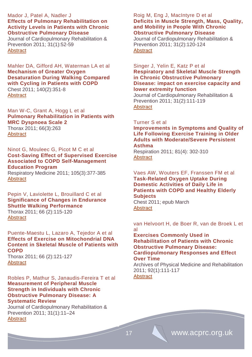## Mador J, Patel A, Nadler J **Effects of Pulmonary Rehabilitation on Activity Levels in Patients with Chronic Obstructive Pulmonary Disease**

Journal of Cardiopulmonary Rehabilitation & Prevention 2011; 31(1):52-59 **[Abstract](http://journals.lww.com/jcrjournal/Abstract/2011/01000/Effects_of_Pulmonary_Rehabilitation_on_Activity.8.aspx)** 

## Mahler DA, Gifford AH, Waterman LA et al **Mechanism of Greater Oxygen Desaturation During Walking Compared with Cycling in Patients with COPD** Chest 2011; 140(2):351-8 **[Abstract](http://www.ncbi.nlm.nih.gov/pubmed?term=Mechanism%20of%20Greater%20Oxygen%20Desaturation%20During%20Walking%20Compared%20With%20Cycling%20in%20Patients%20With%20COPD)**

Man W-C, Grant A, Hogg L et al **Pulmonary Rehabilitation in Patients with MRC Dyspnoea Scale 2** Thorax 2011; 66(3):263

**[Abstract](http://thorax.bmj.com/content/66/3/263.1.full)** 

## Ninot G, Mouleec G, Picot M C et al **Cost-Saving Effect of Supervised Exercise Associated to COPD Self-Management Education Program**

Respiratory Medicine 2011; 105(3):377-385 **[Abstract](http://www.sciencedirect.com/science/article/pii/S0954611110004294)** 

#### Pepin V, Laviolette L, Brouillard C et al **Significance of Changes in Endurance Shuttle Walking Performance** Thorax 2011; 66 (2):115-120 **[Abstract](http://thorax.bmj.com/content/66/2/115.abstract)**

#### Puente-Maestu L, Lazaro A, Tejedor A et al **Effects of Exercise on Mitochondrial DNA Content in Skeletal Muscle of Patients with COPD** Thorax 2011; 66 (2):121-127 **[Abstract](http://thorax.bmj.com/content/66/2/121.abstract)**

## Robles P, Mathur S, Janaudis-Fereira T et al **Measurement of Peripheral Muscle Strength in Individuals with Chronic Obstructive Pulmonary Disease: A Systematic Review**

Journal of Cardiopulmonary Rehabilitation & Prevention 2011; 31(1):11–24 **[Abstract](http://journals.lww.com/jcrjournal/Abstract/2011/01000/Measurement_of_Peripheral_Muscle_Strength_in.3.aspx)** 

## Roig M, Eng J, MacIntyre D et al **Deficits in Muscle Strength, Mass, Quality, and Mobility in People With Chronic Obstructive Pulmonary Disease**

Journal of Cardiopulmonary Rehabilitation & Prevention 2011; 31(2):120-124 **[Abstract](http://journals.lww.com/jcrjournal/Citation/2011/03000/Deficits_in_Muscle_Strength,_Mass,_Quality,_and.8.aspx)** 

# Singer J, Yelin E, Katz P et al **Respiratory and Skeletal Muscle Strength in Chronic Obstructive Pulmonary Disease: impact on exercise capacity and**

# **lower extremity function**

Journal of Cardiopulmonary Rehabilitation & Prevention 2011; 31(2):111-119 **[Abstract](http://journals.lww.com/jcrjournal/Citation/2011/03000/Respiratory_and_Skeletal_Muscle_Strength_in.7.aspx)** 

# Turner S et al

**Improvements in Symptoms and Quality of Life Following Exercise Training in Older Adults with Moderate/Severe Persistent Asthma**

Respiration 2011; 81(4): 302-310 **[Abstract](http://content.karger.com/ProdukteDB/produkte.asp?Aktion=ShowAbstract&ArtikelNr=315142&Ausgabe=254923&ProduktNr=224278)** 

# Vaes AW, Wouters EF, Franssen FM et al **Task-Related Oxygen Uptake During Domestic Activities of Daily Life in Patients with COPD and Healthy Elderly Subjects**

Chest 2011; epub March **[Abstract](http://www.ncbi.nlm.nih.gov/pubmed?term=Task-related%20oxygen%20uptake%20during%20domestic%20activities%20of%20daily%20life%20in%20patients%20with%20COPD%20and%20healthy%20elderly%20subjects)** 

## van Helvoort H, de Boer R, van de Broek L et al

## **Exercises Commonly Used in Rehabilitation of Patients with Chronic Obstructive Pulmonary Disease: Cardiopulmonary Responses and Effect Over Time**

Archives of Physical Medicine and Rehabilitation 2011; 92(1):111-117 **[Abstract](http://www.archives-pmr.org/article/S0003-9993(10)00716-1/abstract)**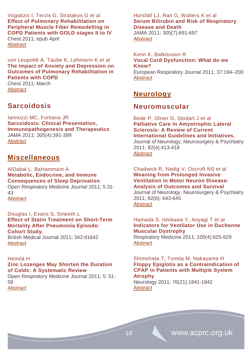Vogiatzis I, Terzis G, Stratakos G et al **Effect of Pulmonary Rehabilitation on Peripheral Muscle Fiber Remodelling in COPD Patients with GOLD stages II to IV** Chest 2011; epub April **[Abstract](http://www.ncbi.nlm.nih.gov/pubmed?term=Effect%20of%20pulmonary%20rehabilitation%20on%20peripheral%20muscle%20fiber%20remodelling%20in%20COPD%20patients%20with%20GOLD%20stages%20II%20to%20IV)** 

von Leupoldt A, Taube K, Lehmann K et al **The Impact of Anxiety and Depression on Outcomes of Pulmonary Rehabilitation in Patients with COPD**

Chest 2011; March **[Abstract](http://www.ncbi.nlm.nih.gov/pubmed/21454397)** 

# **Sarcoidosis**

Iannuzzi MC, Fontana JR **Sarcoidosis: Clinical Presentation, Immunopathogenesis and Therapeutics** JAMA 2011; 305(4):391-399 **[Abstract](http://jama.ama-assn.org/content/305/4/391.abstract)** 

# **Miscellaneous**

AlDabal L, BaHammam A **Metabolic, Endocrine, and Immune Consequences of Sleep Deprivation** Open Respiratory Medicine Journal 2011; 5:31- 43 **[Abstract](http://www.benthamscience.com/open/tormj/openaccess2.htm)** 

Douglas I, Evans S, Smeeth L **[Effect of Statin Treatment on Short-Term](http://www.ncbi.nlm.nih.gov/pubmed/21471172)  [Mortality After Pneumonia Episode:](http://www.ncbi.nlm.nih.gov/pubmed/21471172)  [Cohort Study.](http://www.ncbi.nlm.nih.gov/pubmed/21471172)**

British Medical Journal 2011; 342:d1642 [Abstract](http://www.ncbi.nlm.nih.gov/pubmed?term=Effect%20of%20statin%20treatment%20on%20short%20term%20mortality%20after%20pneumonia%20episode%3A%20cohort%20study)

#### Hemilä H **Zinc Lozenges May Shorten the Duration of Colds: A Systematic Review**

Open Respiratory Medicine Journal 2011; 5: 51- 58 **[Abstract](http://www.benthamscience.com/open/tormj/openaccess2.htm)** 

Horsfall LJ, Rait G, Walters K et al **Serum Bilirubin and Risk of Respiratory Disease and Death**

JAMA 2011; 305(7):691-697 **[Abstract](http://jama.ama-assn.org/content/305/7/691.abstract)** 

Kenn K, Balkissoon R **Vocal Cord Dysfunction: What do we Know?** European Respiratory Journal 2011; 37:194–200 **[Abstract](http://erj.ersjournals.com/content/37/1/194.full.pdf+html)** 

# **Neurology**

# **Neuromuscular**

Bede P, Oliver D, Stodart J et al **Palliative Care in Amyotrophic Lateral Sclerosis: A Review of Current International Guidelines and Initiatives.**  Journal of Neurology, Neurosurgery & Psychiatry 2011; 82(4):413-418 [Abstract](http://jnnp.bmj.com/content/82/4/413.full)

Chadwick R, Nadig V, Oscroft NS et al **Weaning from Prolonged Invasive Ventilation in Motor Neuron Disease: Analysis of Outcomes and Survival** Journal of Neurology, Neurosurgery & Psychiatry 2011; 82(6): 643-645 **[Abstract](http://jnnp.bmj.com/content/82/6/643.full)** 

Hamada S, Ishikawa Y, Aoyagi T et al **Indicators for Ventilator Use in Duchenne Muscular Dystrophy** 

[Respiratory Medicine](http://www.sciencedirect.com/science/journal/09546111) 2011; 105(4):625-629 **[Abstract](http://www.sciencedirect.com/science/article/pii/S0954611110005317)** 

Shimohata T, Tomita M, Nakayama H **Floppy Epiglotis as a Contraindication of CPAP in Patients with Multiple System Atrophy** 

Neurology 2011; 76(21):1841-1842 **[Abstract](http://www.neurology.org/content/76/21/1841.full?sid=4d153608-46fb-4221-9af6-0a18f40b9748)**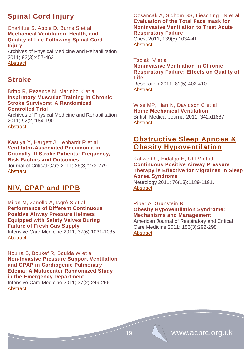# **Spinal Cord Injury**

#### Charlifue S, Apple D, Burns S et al **Mechanical Ventilation, Health, and Quality of Life Following Spinal Cord Injury**

Archives of Physical Medicine and Rehabilitation 2011; 92(3):457-463 **[Abstract](http://www.archives-pmr.org/article/S0003-9993(10)00732-X/abstract)** 

# **Stroke**

#### Britto R, Rezende N, Marinho K et al **Inspiratory Muscular Training in Chronic Stroke Survivors: A Randomized Controlled Trial**

Archives of Physical Medicine and Rehabilitation 2011; 92(2):184-190 **[Abstract](http://www.archives-pmr.org/article/S0003-9993(10)00841-5/abstract)** 

# Kasuya Y, Hargett J, Lenhardt R et al **Ventilator-Associated Pneumonia in Critically Ill Stroke Patients: Frequency, Risk Factors and Outcomes**

[Journal of Critical Care](http://www.sciencedirect.com/science/journal/08839441) 2011; 26(3):273-279 **[Abstract](http://www.sciencedirect.com/science/article/pii/S0883944110002790)** 

# **NIV, CPAP and IPPB**

## Milan M, Zanella A, Isgrò S et al **Performance of Different Continuous Positive Airway Pressure Helmets Equipped with Safety Valves During Failure of Fresh Gas Supply** Intensive Care Medicine 2011; 37(6):1031-1035 **[Abstract](http://icmjournal.esicm.org/journals/abstract.html?v=37&j=134&i=6&a=2207_10.1007_s00134-011-2207-3&doi)**

Nouira S, Boukef R, Bouida W et al **Non-Invasive Pressure Support Ventilation and CPAP in Cardiogenic Pulmonary Edema: A Multicenter Randomized Study in the Emergency Department** Intensive Care Medicine 2011; 37(2):249-256 **[Abstract](http://icmjournal.esicm.org/journals/abstract.html?v=37&j=134&i=2&a=2082_10.1007_s00134-010-2082-3&doi)** 

Ozsancak A, Sidhom SS, Liesching TN et al **Evaluation of the Total Face mask for Noninvasive Ventilation to Treat Acute Respiratory Failure**

Chest 2011; 139(5):1034-41 **[Abstract](http://www.ncbi.nlm.nih.gov/pubmed/21330385)** 

### Tsolaki V et al **Noninvasive Ventilation in Chronic Respiratory Failure: Effects on Quality of Life** Respiration 2011; 81(5):402-410

**[Abstract](http://content.karger.com/ProdukteDB/produkte.asp?Aktion=ShowAbstract&ArtikelNr=317138&Ausgabe=255040&ProduktNr=224278)** 

# Wise MP, Hart N, Davidson C et al **Home Mechanical Ventilation** British Medical Journal 2011; 342:d1687 **[Abstract](http://www.bmj.com/content/342/bmj.d1687.extract)**

# **Obstructive Sleep Apnoea & Obesity Hypoventilation**

## Kallweit U, Hidalgo H, Uhl V et al **Continuous Positive Airway Pressure Therapy is Effective for Migraines in Sleep Apnea Syndrome**  Neurology 2011; 76(13):1189-1191.

**[Abstract](http://www.neurology.org/content/76/13/1189.full?sid=358951bb-b10c-446f-af04-9190a909dd7b)** 

## Piper A, Grunstein R **Obesity Hypoventilation Syndrome: Mechanisms and Management**

American Journal of Respiratory and Critical Care Medicine 2011; 183(3):292-298 **[Abstract](http://ajrccm.atsjournals.org/cgi/content/abstract/183/3/292)**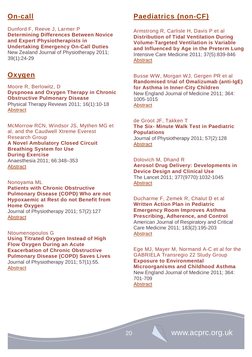# **On-call**

Dunford F, Reeve J, Larmer P **Determining Differences Between Novice and Expert Physiotherapists in Undertaking Emergency On-Call Duties**

New Zealand Journal of Physiotherapy 2011; 39(1):24-29

# **Oxygen**

Moore R, Berlowitz, D **Dyspnoea and Oxygen Therapy in Chronic Obstructive Pulmonary Disease** 

Physical Therapy Reviews 2011; 16(1):10-18 **[Abstract](http://www.ingentaconnect.com/content/maney/ptr/2011/00000016/00000001/art00003)** 

McMorrow RCN, Windsor JS, Mythen MG et al, and the Caudwell Xtreme Everest Research Group **A Novel Ambulatory Closed Circuit Breathing System for Use During Exercise**  Anaesthesia 2011; 66:348–353

**[Abstract](http://onlinelibrary.wiley.com/doi/10.1111/j.1365-2044.2011.06698.x/pdf)** 

Nonoyama ML **Patients with Chronic Obstructive Pulmonary Disease (COPD) Who are not Hypoxaemic at Rest do not Benefit from Home Oxygen**

Journal of Physiotherapy 2011; 57(2):127 **[Abstract](http://www.ncbi.nlm.nih.gov/pubmed/21684496)** 

Ntoumenopoulos G **Using Titrated Oxygen Instead of High Flow Oxygen During an Acute Exacerbation of Chronic Obstructive Pulmonary Disease (COPD) Saves Lives** Journal of Physiotherapy 2011; 57(1):55. **[Abstract](http://www.ncbi.nlm.nih.gov/pubmed/21402331)** 

# **Paediatrics (non-CF)**

Armstrong R, Carlisle H, Davis P et al **Distribution of Tidal Ventilation During Volume-Targeted Ventilation is Variable and Influenced by Age in the Preterm Lung** Intensive Care Medicine 2011; 37(5):839-846 **[Abstract](http://icmjournal.esicm.org/journals/abstract.html?v=37&j=134&i=5&a=2157_10.1007_s00134-011-2157-9&doi)** 

Busse WW, Morgan WJ, Gergen PR et al **Randomised trial of Omalizumab (anti-IgE) for Asthma in Inner-City Children**

New England Journal of Medicine 2011; 364: 1005-1015 [Abstract](http://www.nejm.org/doi/full/10.1056/NEJMoa1009705)

# de Groot JF, Takken T **The Six- Minute Walk Test in Paediatric Populations** Journal of Physiotherapy 2011; 57(2):128

**[Abstract](http://www.ncbi.nlm.nih.gov/pubmed/21684497)** 

Dolovich M, Dhand R **Aerosol Drug Delivery: Developments in Device Design and Clinical Use** The Lancet 2011; 377(9770):1032-1045

**[Abstract](http://www.thelancet.com/journals/lancet/article/PIIS0140-6736(10)60926-9/abstract%23)** 

Ducharme F, Zemek R, Chalut D et al **Written Action Plan in Pediatric Emergency Room Improves Asthma Prescribing, Adherence, and Control** American Journal of Respiratory and Critical Care Medicine 2011; 183(2):195-203 [Abstract](http://ajrccm.atsjournals.org/cgi/content/abstract/183/2/195)

Ege MJ, Mayer M, Normand A-C et al for the GABRIELA Transregio 22 Study Group **Exposure to Environmental Microorganisms and Childhood Asthma** New England Journal of Medicine 2011; 364:

701-709 **[Abstract](http://www.nejm.org/doi/full/10.1056/NEJMoa1007302)**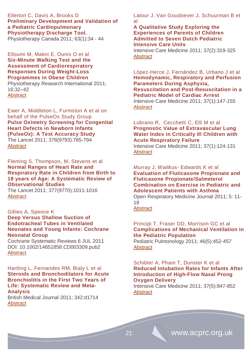Ellerton C, Davis A, Brooks D **Preliminary Development and Validation of a Pediatric Cardiopulmonary Physiotherapy Discharge Tool.**  Physiotherapy Canada 2011; 63(1):34 - 44

Elloumi M, Makni E, Ounis O et al **Six-Minute Walking Test and the Assessment of Cardiorespiratory Responses During Weight-Loss Programmes in Obese Children** Physiotherapy Research International 2011;

16:32–42 **[Abstract](http://onlinelibrary.wiley.com/doi/10.1002/pri.470/full)** 

Ewer A, Middleton L, Furmston A et al on behalf of the PulseOx Study Group **Pulse Oximetry Screening for Congenital Heart Defects in Newborn Infants (PulseOx): A Test Accuracy Study** The Lancet 2011; 378(9793):785-794 **[Abstract](http://www.thelancet.com/journals/lancet/article/PIIS0140-6736(11)60753-8/abstract)** 

[Fleming](http://www.thelancet.com/search/results?fieldName=Authors&searchTerm=Susannah+Fleming) S, Thompson, M, Stevens et al **Normal Ranges of Heart Rate and Respiratory Rate in Children from Birth to 18 years of Age: A Systematic Review of Observational Studies**

The Lancet 2011; 377(9770):1011-1016 [Abstract](http://www.thelancet.com/journals/lancet/article/PIIS0140-6736(10)62226-X/abstract)

#### Gillies A, Spence K **Deep Versus Shallow Suction of Endotracheal Tubes in Ventilated Neonates and Young Infants: [Cochrane](http://onlinelibrary.wiley.com/o/cochrane/clabout/articles/NEONATAL/frame.html)  [Neonatal Group](http://onlinelibrary.wiley.com/o/cochrane/clabout/articles/NEONATAL/frame.html)**

Cochrane Systematic Reviews 6 JUL 2011 DOI: 10.1002/14651858.CD003309.pub2 [Abstract](http://onlinelibrary.wiley.com/doi/10.1002/14651858.CD003309.pub2/abstract)

#### Hartling L, Fernandes RM, Bialy L et al **Steroids and Bronchodilators for Acute Bronchiolitis in the First Two Years of Life: Systematic Review and Meta-Analysis**

British Medical Journal 2011; 342:d1714 [Abstract](http://www.ncbi.nlm.nih.gov/pubmed/21471175)

Latour J, Van Goudoever J, Schuurman B et al

**A Qualitative Study Exploring the Experiences of Parents of Children Admitted to Seven Dutch Pediatric Intensive Care Units**

Intensive Care Medicine 2011; 37(2):319-325 **[Abstract](http://icmjournal.esicm.org/journals/abstract.html?v=37&j=134&i=2&a=2074_10.1007_s00134-010-2074-3&doi)** 

López-Herce J, Fernández B, Urbano J et al **Hemodynamic, Respiratory and Perfusion Parameters During Asphyxia, Resuscitation and Post-Resuscitation in a Pediatric Model of Cardiac Arrest** Intensive Care Medicine 2011; 37(1):147-155

**[Abstract](http://icmjournal.esicm.org/journals/abstract.html?v=37&j=134&i=1&a=2006_10.1007_s00134-010-2006-2&doi)** 

## Lubrano R, Cecchetti C, Elli M et al **Prognostic Value of Extravascular Lung Water Index in Critically Ill Children with Acute Respiratory Failure**

Intensive Care Medicine 2011; 37(1):124-131 **[Abstract](http://icmjournal.esicm.org/journals/abstract.html?v=37&j=134&i=1&a=2047_10.1007_s00134-010-2047-6&doi)** 

Murray J, Waitkus- Edwards K et al **Evaluation of Fluticasone Propionate and Fluticasone Propionate/Salmeterol Combination on Exercise in Pediatric and Adolescent Patients with Asthma**

Open Respiratory Medicine Journal 2011; 5: 11- 18

**[Abstract](http://www.benthamscience.com/open/tormj/openaccess2.htm)** 

# Principi T, Fraser DD, Morrison GC et al **Complications of Mechanical Ventilation in the Pediatric Population**

Pediatric Pulmonology 2011; 46(5):452-457 **[Abstract](http://www.ncbi.nlm.nih.gov/pubmed/21194139)** 

# Schibler A, Pham T, Dunster K et al **Reduced Intubation Rates for Infants After Introduction of High-Flow Nasal Prong Oxygen Delivery**

Intensive Care Medicine 2011; 37(5):847-852 **[Abstract](http://icmjournal.esicm.org/journals/abstract.html?v=37&j=134&i=5&a=2177_10.1007_s00134-011-2177-5&doi)**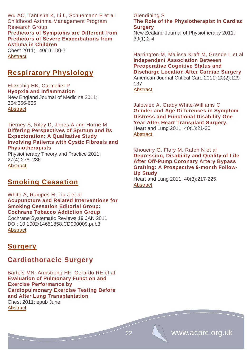Wu AC, Tantisira K, Li L, Schuemann B et al Childhood Asthma Management Program Research Group

**[Predictors of Symptoms are Different from](http://www.ncbi.nlm.nih.gov/pubmed/21292760)  [Predictors of Severe Exacerbations from](http://www.ncbi.nlm.nih.gov/pubmed/21292760)  [Asthma in Children](http://www.ncbi.nlm.nih.gov/pubmed/21292760)**

Chest 2011; 140(1):100-7 **[Abstract](http://www.ncbi.nlm.nih.gov/pubmed?term=Predictors%20of%20symptoms%20are%20different%20from%20predictors%20of%20severe%20exacerbations%20from%20asthma%20in%20children)** 

# **Respiratory Physiology**

Eltzschig HK, Carmeliet P **Hyopxia and Inflammation** New England Journal of Medicine 2011; 364:656-665 **[Abstract](http://www.nejm.org/toc/nejm/364/7/)** 

## Tierney S, Riley D, Jones A and Horne M **Differing Perspectives of Sputum and its Expectoration: A Qualitative Study Involving Patients with Cystic Fibrosis and Physiotherapists**

Physiotherapy Theory and Practice 2011; 27(4):278–286 **[Abstract](http://informahealthcare.com/doi/abs/10.3109/09593985.2010.501849)** 

# **Smoking Cessation**

White A, Rampes H, Liu J et al **Acupuncture and Related Interventions for Smoking Cessation Editorial Group: [Cochrane Tobacco Addiction Group](http://onlinelibrary.wiley.com/o/cochrane/clabout/articles/TOBACCO/frame.html)** Cochrane Systematic Reviews 19 JAN 2011 DOI: 10.1002/14651858.CD000009.pub3 **[Abstract](http://onlinelibrary.wiley.com/doi/10.1002/14651858.CD000009.pub3/abstract)** 

# **Surgery**

# **Cardiothoracic Surgery**

Bartels MN, Armstrong HF, Gerardo RE et al **Evaluation of Pulmonary Function and Exercise Performance by Cardiopulmonary Exercise Testing Before and After Lung Transplantation** Chest 2011; epub June **[Abstract](http://chestjournal.chestpubs.org/content/early/2011/06/15/chest.10-2721.abstract)** 

#### Glendining S **The Role of the Physiotherapist in Cardiac Surgery**

New Zealand Journal of Physiotherapy 2011; 39(1):2-4

Harrington M, Malissa Kraft M, Grande L et al **Independent Association Between Preoperative Cognitive Status and Discharge Location After Cardiac Surgery**  American Journal Critical Care 2011; 20(2):129- 137 [Abstract](http://ajcc.aacnjournals.org/content/20/2/129.abstract)

Jalowiec A, Grady White-Williams C **[Gender and Age Differences in Symptom](http://www.heartandlung.org/article/S0147-9563(10)00065-8/abstract)  [Distress and Functional Disability One](http://www.heartandlung.org/article/S0147-9563(10)00065-8/abstract)  [Year After Heart Transplant Surgery.](http://www.heartandlung.org/article/S0147-9563(10)00065-8/abstract)** Heart and Lung 2011; 40(1):21-30 **[Abstract](http://www.sciencedirect.com/science/article/pii/S0147956310000658)** 

Khoueiry G, Flory M, Rafeh N et al **Depression, Disability and Quality of Life After Off-Pump Coronary Artery Bypass Grafting: A Prospective 9-month Follow-Up Study**

Heart and Lung 2011; 40(3):217-225 **[Abstract](http://www.sciencedirect.com/science/article/pii/S014795631000083X)**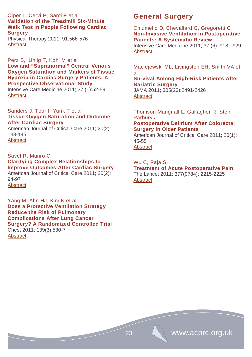# Olper L, Cervi P, Santi F et al **Validation of the Treadmill Six-Minute Walk Test in People Following Cardiac Surgery**

Physical Therapy 2011; 91:566-576 **[Abstract](http://ptjournal.apta.org/content/91/4/566.abstract)** 

Perz S, Uhlig T, Kohl M et al **Low and "Supranormal" Central Venous Oxygen Saturation and Markers of Tissue Hypoxia in Cardiac Surgery Patients: A Prospective Observational Study** Intensive Care Medicine 2011; 37 (1):52-59

**[Abstract](http://icmjournal.esicm.org/journals/abstract.html?v=37&j=134&i=1&a=1980_10.1007_s00134-010-1980-8&doi)** 

## Sanders J, Toor I, Yurik T et al **Tissue Oxygen Saturation and Outcome After Cardiac Surgery**

American Journal of Critical Care 2011; 20(2): 138-145 **[Abstract](http://ajcc.aacnjournals.org/content/20/2/138.abstract)** 

# Savel R, Munro C

#### **Clarifying Complex Relationships to Improve Outcomes After Cardiac Surgery**  American Journal of Critical Care 2011; 20(2):

94-97 **[Abstract](http://ajcc.aacnjournals.org/content/20/2/94.full.pdf+html)** 

Yang M, Ahn HJ, Kim K et al **Does a Protective Ventilation Strategy Reduce the Risk of Pulmonary Complications After Lung Cancer Surgery? A Randomized Controlled Trial** Chest 2011; 139(3):530-7 **[Abstract](http://www.ncbi.nlm.nih.gov/pubmed?term=Does%20a%20protective%20ventilation%20strategy%20reduce%20the%20risk%20of%20pulmonary%20complications%20after%20lung%20cancer%20surgery%3F%3A%20a%20randomized%20controlled%20trial)** 

# **General Surgery**

Chiumello D, Chevallard G, Gregoretti C **[Non-Invasive Ventilation in Postoperative](http://icmjournal.esicm.org/journal/134/37/6/2210_10.1007_s00134-011-2210-8/2011/Non-invasive_ventilation_in_postoperative_patients.html)  [Patients: A](http://icmjournal.esicm.org/journal/134/37/6/2210_10.1007_s00134-011-2210-8/2011/Non-invasive_ventilation_in_postoperative_patients.html) Systematic Review**

Intensive Care Medicine 2011; 37 (6): 918 - 929 **[Abstract](http://icmjournal.esicm.org/journals/abstract.html?v=37&j=134&i=6&a=2210_10.1007_s00134-011-2210-8&doi)** 

Maciejewski ML, Livingston EH, Smith VA et al

# **Survival Among High-Risk Patients After Bariatric Surgery**

JAMA 2011; 305(23):2491-2426 **[Abstract](http://jama.ama-assn.org/content/305/23/2419.abstract)** 

Thomson Mangnall L, Gallagher R, Stein-Parbury J **Postoperative Delirium After Colorectal Surgery in Older Patients**  American Journal of Critical Care 2011; 20(1): 45-55

**[Abstract](http://ajcc.aacnjournals.org/content/20/1/45.abstract)** 

## Wu C, Raja S

**Treatment of Acute Postoperative Pain** The Lancet 2011; 377(9784): 2215-2225 **[Abstract](http://www.thelancet.com/journals/lancet/article/PIIS0140-6736(11)60245-6/abstract)**